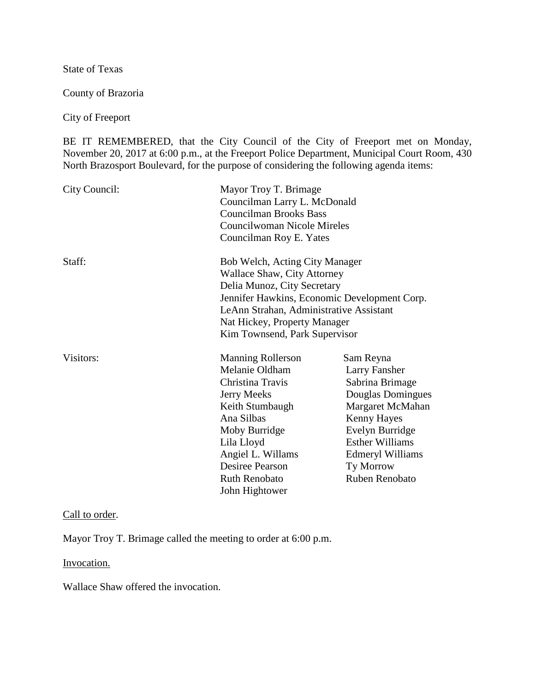State of Texas

County of Brazoria

City of Freeport

BE IT REMEMBERED, that the City Council of the City of Freeport met on Monday, November 20, 2017 at 6:00 p.m., at the Freeport Police Department, Municipal Court Room, 430 North Brazosport Boulevard, for the purpose of considering the following agenda items:

| City Council: | Mayor Troy T. Brimage<br>Councilman Larry L. McDonald<br><b>Councilman Brooks Bass</b><br><b>Councilwoman Nicole Mireles</b><br>Councilman Roy E. Yates                                                                                                         |                                                                                                                                                                                                                     |
|---------------|-----------------------------------------------------------------------------------------------------------------------------------------------------------------------------------------------------------------------------------------------------------------|---------------------------------------------------------------------------------------------------------------------------------------------------------------------------------------------------------------------|
| Staff:        | Bob Welch, Acting City Manager<br><b>Wallace Shaw, City Attorney</b><br>Delia Munoz, City Secretary<br>Jennifer Hawkins, Economic Development Corp.<br>LeAnn Strahan, Administrative Assistant<br>Nat Hickey, Property Manager<br>Kim Townsend, Park Supervisor |                                                                                                                                                                                                                     |
| Visitors:     | <b>Manning Rollerson</b><br>Melanie Oldham<br>Christina Travis<br>Jerry Meeks<br>Keith Stumbaugh<br>Ana Silbas<br>Moby Burridge<br>Lila Lloyd<br>Angiel L. Willams<br><b>Desiree Pearson</b><br><b>Ruth Renobato</b><br>John Hightower                          | Sam Reyna<br>Larry Fansher<br>Sabrina Brimage<br>Douglas Domingues<br>Margaret McMahan<br>Kenny Hayes<br>Evelyn Burridge<br><b>Esther Williams</b><br><b>Edmeryl Williams</b><br>Ty Morrow<br><b>Ruben Renobato</b> |

# Call to order.

Mayor Troy T. Brimage called the meeting to order at 6:00 p.m.

Invocation.

Wallace Shaw offered the invocation.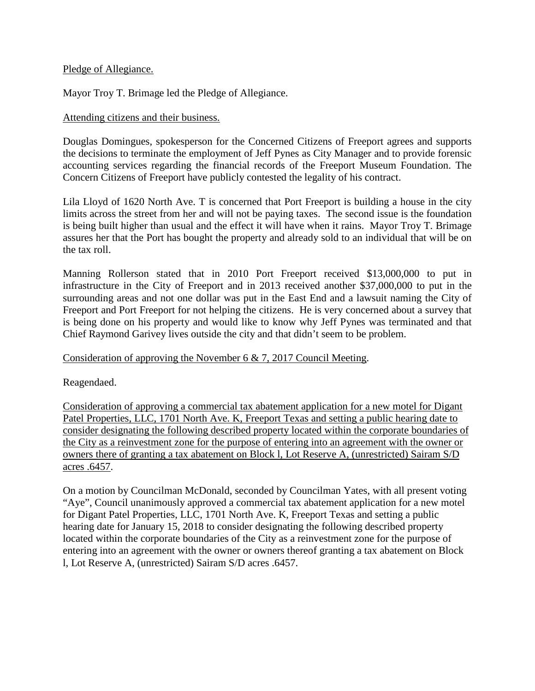### Pledge of Allegiance.

Mayor Troy T. Brimage led the Pledge of Allegiance.

### Attending citizens and their business.

Douglas Domingues, spokesperson for the Concerned Citizens of Freeport agrees and supports the decisions to terminate the employment of Jeff Pynes as City Manager and to provide forensic accounting services regarding the financial records of the Freeport Museum Foundation. The Concern Citizens of Freeport have publicly contested the legality of his contract.

Lila Lloyd of 1620 North Ave. T is concerned that Port Freeport is building a house in the city limits across the street from her and will not be paying taxes. The second issue is the foundation is being built higher than usual and the effect it will have when it rains. Mayor Troy T. Brimage assures her that the Port has bought the property and already sold to an individual that will be on the tax roll.

Manning Rollerson stated that in 2010 Port Freeport received \$13,000,000 to put in infrastructure in the City of Freeport and in 2013 received another \$37,000,000 to put in the surrounding areas and not one dollar was put in the East End and a lawsuit naming the City of Freeport and Port Freeport for not helping the citizens. He is very concerned about a survey that is being done on his property and would like to know why Jeff Pynes was terminated and that Chief Raymond Garivey lives outside the city and that didn't seem to be problem.

# Consideration of approving the November 6 & 7, 2017 Council Meeting.

Reagendaed.

Consideration of approving a commercial tax abatement application for a new motel for Digant Patel Properties, LLC, 1701 North Ave. K, Freeport Texas and setting a public hearing date to consider designating the following described property located within the corporate boundaries of the City as a reinvestment zone for the purpose of entering into an agreement with the owner or owners there of granting a tax abatement on Block l, Lot Reserve A, (unrestricted) Sairam S/D acres .6457.

On a motion by Councilman McDonald, seconded by Councilman Yates, with all present voting "Aye", Council unanimously approved a commercial tax abatement application for a new motel for Digant Patel Properties, LLC, 1701 North Ave. K, Freeport Texas and setting a public hearing date for January 15, 2018 to consider designating the following described property located within the corporate boundaries of the City as a reinvestment zone for the purpose of entering into an agreement with the owner or owners thereof granting a tax abatement on Block l, Lot Reserve A, (unrestricted) Sairam S/D acres .6457.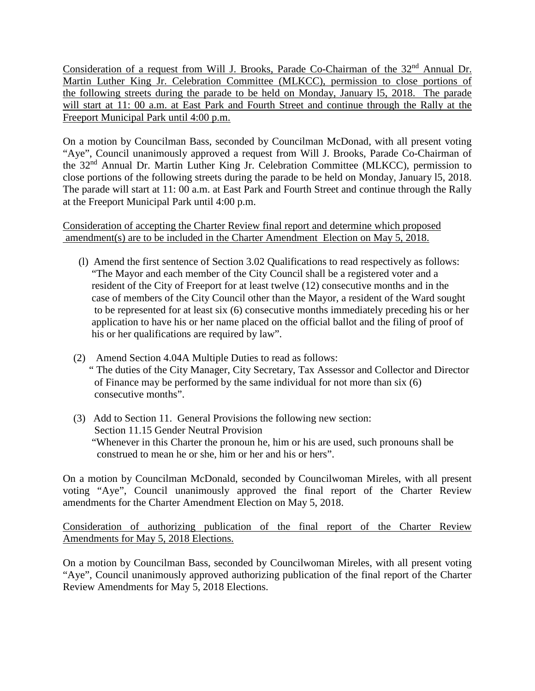Consideration of a request from Will J. Brooks, Parade Co-Chairman of the 32<sup>nd</sup> Annual Dr. Martin Luther King Jr. Celebration Committee (MLKCC), permission to close portions of the following streets during the parade to be held on Monday, January l5, 2018. The parade will start at 11: 00 a.m. at East Park and Fourth Street and continue through the Rally at the Freeport Municipal Park until 4:00 p.m.

On a motion by Councilman Bass, seconded by Councilman McDonad, with all present voting "Aye", Council unanimously approved a request from Will J. Brooks, Parade Co-Chairman of the 32nd Annual Dr. Martin Luther King Jr. Celebration Committee (MLKCC), permission to close portions of the following streets during the parade to be held on Monday, January l5, 2018. The parade will start at 11: 00 a.m. at East Park and Fourth Street and continue through the Rally at the Freeport Municipal Park until 4:00 p.m.

Consideration of accepting the Charter Review final report and determine which proposed amendment(s) are to be included in the Charter Amendment Election on May 5, 2018.

- (l) Amend the first sentence of Section 3.02 Qualifications to read respectively as follows: "The Mayor and each member of the City Council shall be a registered voter and a resident of the City of Freeport for at least twelve (12) consecutive months and in the case of members of the City Council other than the Mayor, a resident of the Ward sought to be represented for at least six (6) consecutive months immediately preceding his or her application to have his or her name placed on the official ballot and the filing of proof of his or her qualifications are required by law".
- (2) Amend Section 4.04A Multiple Duties to read as follows: " The duties of the City Manager, City Secretary, Tax Assessor and Collector and Director of Finance may be performed by the same individual for not more than six (6) consecutive months".
- (3) Add to Section 11. General Provisions the following new section: Section 11.15 Gender Neutral Provision "Whenever in this Charter the pronoun he, him or his are used, such pronouns shall be construed to mean he or she, him or her and his or hers".

On a motion by Councilman McDonald, seconded by Councilwoman Mireles, with all present voting "Aye", Council unanimously approved the final report of the Charter Review amendments for the Charter Amendment Election on May 5, 2018.

Consideration of authorizing publication of the final report of the Charter Review Amendments for May 5, 2018 Elections.

On a motion by Councilman Bass, seconded by Councilwoman Mireles, with all present voting "Aye", Council unanimously approved authorizing publication of the final report of the Charter Review Amendments for May 5, 2018 Elections.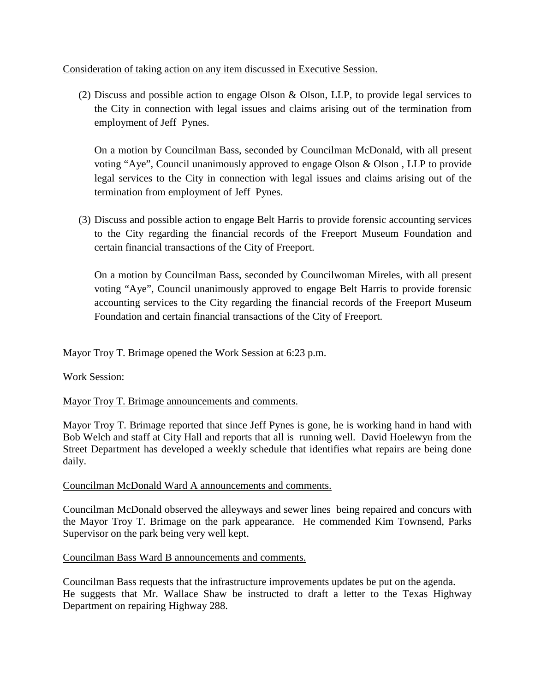## Consideration of taking action on any item discussed in Executive Session.

(2) Discuss and possible action to engage Olson & Olson, LLP, to provide legal services to the City in connection with legal issues and claims arising out of the termination from employment of Jeff Pynes.

On a motion by Councilman Bass, seconded by Councilman McDonald, with all present voting "Aye", Council unanimously approved to engage Olson & Olson , LLP to provide legal services to the City in connection with legal issues and claims arising out of the termination from employment of Jeff Pynes.

(3) Discuss and possible action to engage Belt Harris to provide forensic accounting services to the City regarding the financial records of the Freeport Museum Foundation and certain financial transactions of the City of Freeport.

On a motion by Councilman Bass, seconded by Councilwoman Mireles, with all present voting "Aye", Council unanimously approved to engage Belt Harris to provide forensic accounting services to the City regarding the financial records of the Freeport Museum Foundation and certain financial transactions of the City of Freeport.

Mayor Troy T. Brimage opened the Work Session at 6:23 p.m.

Work Session:

# Mayor Troy T. Brimage announcements and comments.

Mayor Troy T. Brimage reported that since Jeff Pynes is gone, he is working hand in hand with Bob Welch and staff at City Hall and reports that all is running well. David Hoelewyn from the Street Department has developed a weekly schedule that identifies what repairs are being done daily.

#### Councilman McDonald Ward A announcements and comments.

Councilman McDonald observed the alleyways and sewer lines being repaired and concurs with the Mayor Troy T. Brimage on the park appearance. He commended Kim Townsend, Parks Supervisor on the park being very well kept.

#### Councilman Bass Ward B announcements and comments.

Councilman Bass requests that the infrastructure improvements updates be put on the agenda. He suggests that Mr. Wallace Shaw be instructed to draft a letter to the Texas Highway Department on repairing Highway 288.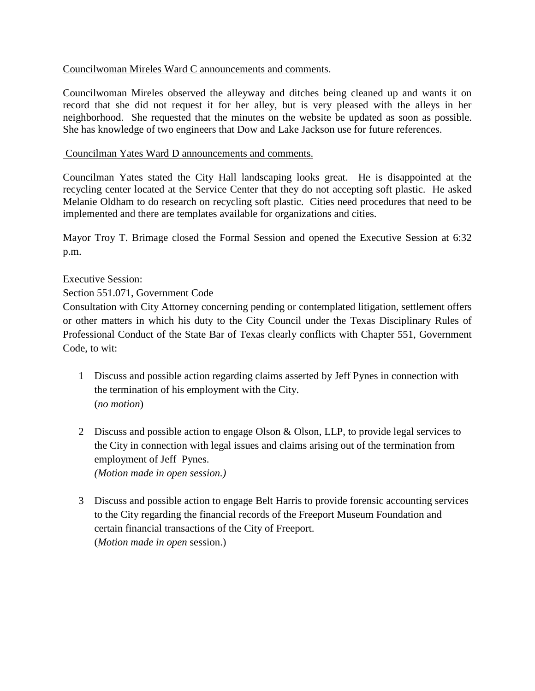# Councilwoman Mireles Ward C announcements and comments.

Councilwoman Mireles observed the alleyway and ditches being cleaned up and wants it on record that she did not request it for her alley, but is very pleased with the alleys in her neighborhood. She requested that the minutes on the website be updated as soon as possible. She has knowledge of two engineers that Dow and Lake Jackson use for future references.

#### Councilman Yates Ward D announcements and comments.

Councilman Yates stated the City Hall landscaping looks great. He is disappointed at the recycling center located at the Service Center that they do not accepting soft plastic. He asked Melanie Oldham to do research on recycling soft plastic. Cities need procedures that need to be implemented and there are templates available for organizations and cities.

Mayor Troy T. Brimage closed the Formal Session and opened the Executive Session at 6:32 p.m.

# Executive Session:

Section 551.071, Government Code

Consultation with City Attorney concerning pending or contemplated litigation, settlement offers or other matters in which his duty to the City Council under the Texas Disciplinary Rules of Professional Conduct of the State Bar of Texas clearly conflicts with Chapter 551, Government Code, to wit:

- 1 Discuss and possible action regarding claims asserted by Jeff Pynes in connection with the termination of his employment with the City. (*no motion*)
- 2 Discuss and possible action to engage Olson & Olson, LLP, to provide legal services to the City in connection with legal issues and claims arising out of the termination from employment of Jeff Pynes. *(Motion made in open session.)*
- 3 Discuss and possible action to engage Belt Harris to provide forensic accounting services to the City regarding the financial records of the Freeport Museum Foundation and certain financial transactions of the City of Freeport. (*Motion made in open* session.)